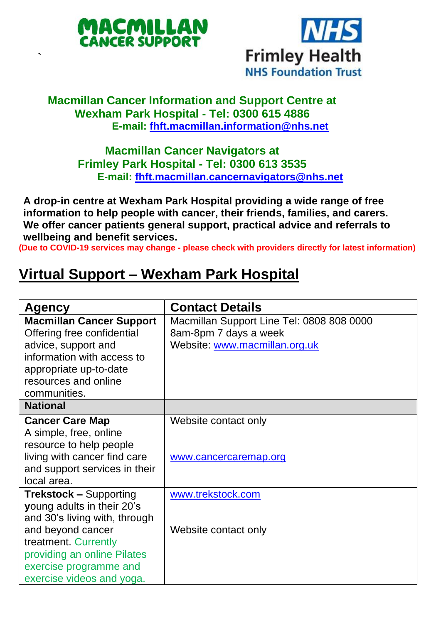

`



## **Macmillan Cancer Information and Support Centre at Wexham Park Hospital - Tel: 0300 615 4886 E-mail: [fhft.macmillan.information@nhs.net](mailto:fhft.macmillan.information@nhs.net)**

**Macmillan Cancer Navigators at Frimley Park Hospital - Tel: 0300 613 3535 E-mail: [fhft.macmillan.cancernavigators@nhs.net](mailto:fhft.macmillan.cancernavigators@nhs.net)**

**A drop-in centre at Wexham Park Hospital providing a wide range of free information to help people with cancer, their friends, families, and carers. We offer cancer patients general support, practical advice and referrals to wellbeing and benefit services.**

**(Due to COVID-19 services may change - please check with providers directly for latest information)**

## **Virtual Support – Wexham Park Hospital**

| Agency                          | <b>Contact Details</b>                    |
|---------------------------------|-------------------------------------------|
| <b>Macmillan Cancer Support</b> | Macmillan Support Line Tel: 0808 808 0000 |
| Offering free confidential      | 8am-8pm 7 days a week                     |
| advice, support and             | Website: www.macmillan.org.uk             |
| information with access to      |                                           |
| appropriate up-to-date          |                                           |
| resources and online            |                                           |
| communities.                    |                                           |
| <b>National</b>                 |                                           |
| <b>Cancer Care Map</b>          | Website contact only                      |
| A simple, free, online          |                                           |
| resource to help people         |                                           |
| living with cancer find care    | www.cancercaremap.org                     |
| and support services in their   |                                           |
| local area.                     |                                           |
| <b>Trekstock - Supporting</b>   | www.trekstock.com                         |
| young adults in their 20's      |                                           |
| and 30's living with, through   |                                           |
| and beyond cancer               | Website contact only                      |
| treatment. Currently            |                                           |
| providing an online Pilates     |                                           |
| exercise programme and          |                                           |
| exercise videos and yoga.       |                                           |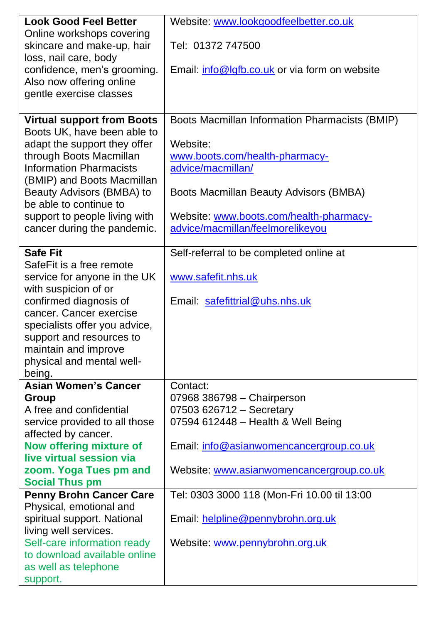| <b>Look Good Feel Better</b>                         | Website: www.lookgoodfeelbetter.co.uk          |  |
|------------------------------------------------------|------------------------------------------------|--|
| Online workshops covering                            |                                                |  |
| skincare and make-up, hair                           | Tel: 01372 747500                              |  |
| loss, nail care, body                                |                                                |  |
| confidence, men's grooming.                          | Email: info@lgfb.co.uk or via form on website  |  |
| Also now offering online                             |                                                |  |
| gentle exercise classes                              |                                                |  |
|                                                      |                                                |  |
| <b>Virtual support from Boots</b>                    | Boots Macmillan Information Pharmacists (BMIP) |  |
| Boots UK, have been able to                          |                                                |  |
| adapt the support they offer                         | Website:                                       |  |
| through Boots Macmillan                              | www.boots.com/health-pharmacy-                 |  |
| <b>Information Pharmacists</b>                       | advice/macmillan/                              |  |
| (BMIP) and Boots Macmillan                           |                                                |  |
| Beauty Advisors (BMBA) to                            | Boots Macmillan Beauty Advisors (BMBA)         |  |
| be able to continue to                               |                                                |  |
| support to people living with                        | Website: www.boots.com/health-pharmacy-        |  |
| cancer during the pandemic.                          | advice/macmillan/feelmorelikeyou               |  |
|                                                      |                                                |  |
| <b>Safe Fit</b>                                      | Self-referral to be completed online at        |  |
| SafeFit is a free remote                             |                                                |  |
| service for anyone in the UK                         | www.safefit.nhs.uk                             |  |
| with suspicion of or                                 |                                                |  |
| confirmed diagnosis of                               | Email: safefittrial@uhs.nhs.uk                 |  |
| cancer. Cancer exercise                              |                                                |  |
| specialists offer you advice,                        |                                                |  |
| support and resources to                             |                                                |  |
| maintain and improve                                 |                                                |  |
| physical and mental well-                            |                                                |  |
| being.                                               |                                                |  |
| <b>Asian Women's Cancer</b>                          | Contact:                                       |  |
| Group                                                | 07968 386798 - Chairperson                     |  |
| A free and confidential                              | 07503 626712 - Secretary                       |  |
| service provided to all those                        | 07594 612448 - Health & Well Being             |  |
| affected by cancer.                                  |                                                |  |
| Now offering mixture of                              | Email: info@asianwomencancergroup.co.uk        |  |
| live virtual session via                             |                                                |  |
| zoom. Yoga Tues pm and                               | Website: www.asianwomencancergroup.co.uk       |  |
| <b>Social Thus pm</b>                                |                                                |  |
| <b>Penny Brohn Cancer Care</b>                       | Tel: 0303 3000 118 (Mon-Fri 10.00 til 13:00    |  |
| Physical, emotional and                              |                                                |  |
| spiritual support. National                          | Email: helpline@pennybrohn.org.uk              |  |
| living well services.<br>Self-care information ready |                                                |  |
| to download available online                         | Website: www.pennybrohn.org.uk                 |  |
|                                                      |                                                |  |
| as well as telephone                                 |                                                |  |
| support.                                             |                                                |  |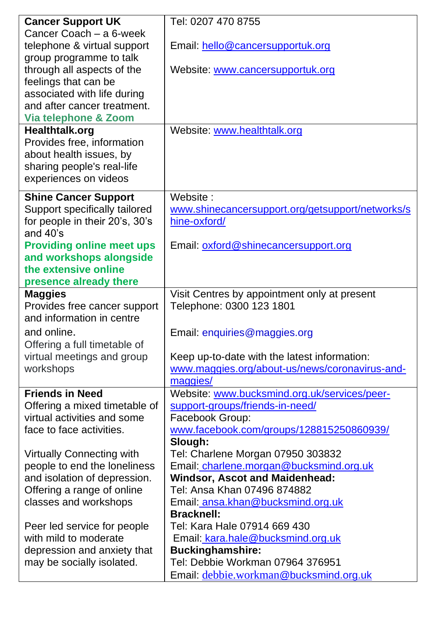| <b>Cancer Support UK</b>         | Tel: 0207 470 8755                               |
|----------------------------------|--------------------------------------------------|
| Cancer Coach - a 6-week          |                                                  |
| telephone & virtual support      | Email: hello@cancersupportuk.org                 |
| group programme to talk          |                                                  |
| through all aspects of the       | Website: www.cancersupportuk.org                 |
| feelings that can be             |                                                  |
| associated with life during      |                                                  |
| and after cancer treatment.      |                                                  |
| Via telephone & Zoom             |                                                  |
| Healthtalk.org                   | Website: www.healthtalk.org                      |
| Provides free, information       |                                                  |
| about health issues, by          |                                                  |
| sharing people's real-life       |                                                  |
| experiences on videos            |                                                  |
| <b>Shine Cancer Support</b>      | Website:                                         |
| Support specifically tailored    | www.shinecancersupport.org/getsupport/networks/s |
| for people in their 20's, 30's   | hine-oxford/                                     |
| and 40's                         |                                                  |
| <b>Providing online meet ups</b> | Email: oxford@shinecancersupport.org             |
| and workshops alongside          |                                                  |
| the extensive online             |                                                  |
| presence already there           |                                                  |
| <b>Maggies</b>                   | Visit Centres by appointment only at present     |
| Provides free cancer support     | Telephone: 0300 123 1801                         |
| and information in centre        |                                                  |
| and online.                      | Email: enquiries@maggies.org                     |
| Offering a full timetable of     |                                                  |
| virtual meetings and group       | Keep up-to-date with the latest information:     |
| workshops                        | www.maggies.org/about-us/news/coronavirus-and-   |
|                                  | maggies/                                         |
| <b>Friends in Need</b>           | Website: www.bucksmind.org.uk/services/peer-     |
| Offering a mixed timetable of    | support-groups/friends-in-need/                  |
| virtual activities and some      | Facebook Group:                                  |
| face to face activities.         | www.facebook.com/groups/128815250860939/         |
|                                  | Slough:                                          |
| Virtually Connecting with        | Tel: Charlene Morgan 07950 303832                |
| people to end the loneliness     | Email: charlene.morgan@bucksmind.org.uk          |
| and isolation of depression.     | Windsor, Ascot and Maidenhead:                   |
| Offering a range of online       | Tel: Ansa Khan 07496 874882                      |
| classes and workshops            | Email: ansa.khan@bucksmind.org.uk                |
|                                  | <b>Bracknell:</b>                                |
| Peer led service for people      | Tel: Kara Hale 07914 669 430                     |
| with mild to moderate            | Email: kara.hale@bucksmind.org.uk                |
| depression and anxiety that      | <b>Buckinghamshire:</b>                          |
| may be socially isolated.        | Tel: Debbie Workman 07964 376951                 |
|                                  | Email: debbie.workman@bucksmind.org.uk           |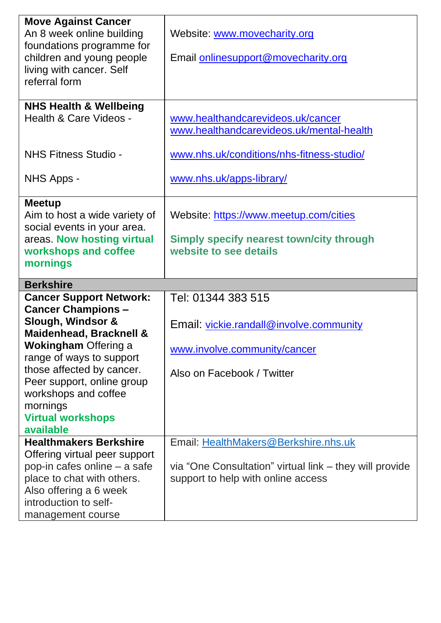| <b>Move Against Cancer</b><br>An 8 week online building<br>foundations programme for<br>children and young people<br>living with cancer. Self<br>referral form                                                                                                                                                 | Website: www.movecharity.org<br>Email onlinesupport@movecharity.org                                                                   |
|----------------------------------------------------------------------------------------------------------------------------------------------------------------------------------------------------------------------------------------------------------------------------------------------------------------|---------------------------------------------------------------------------------------------------------------------------------------|
| <b>NHS Health &amp; Wellbeing</b><br>Health & Care Videos -                                                                                                                                                                                                                                                    | www.healthandcarevideos.uk/cancer<br>www.healthandcarevideos.uk/mental-health                                                         |
| NHS Fitness Studio -                                                                                                                                                                                                                                                                                           | www.nhs.uk/conditions/nhs-fitness-studio/                                                                                             |
| NHS Apps -                                                                                                                                                                                                                                                                                                     | www.nhs.uk/apps-library/                                                                                                              |
| <b>Meetup</b><br>Aim to host a wide variety of<br>social events in your area.<br>areas. Now hosting virtual<br>workshops and coffee<br>mornings                                                                                                                                                                | Website: https://www.meetup.com/cities<br>Simply specify nearest town/city through<br>website to see details                          |
| <b>Berkshire</b>                                                                                                                                                                                                                                                                                               |                                                                                                                                       |
| <b>Cancer Support Network:</b><br><b>Cancer Champions -</b><br>Slough, Windsor &<br>Maidenhead, Bracknell &<br><b>Wokingham Offering a</b><br>range of ways to support<br>those affected by cancer.<br>Peer support, online group<br>workshops and coffee<br>mornings<br><b>Virtual workshops</b><br>available | Tel: 01344 383 515<br>Email: vickie.randall@involve.community<br>www.involve.community/cancer<br>Also on Facebook / Twitter           |
| <b>Healthmakers Berkshire</b><br>Offering virtual peer support<br>pop-in cafes online - a safe<br>place to chat with others.<br>Also offering a 6 week<br>introduction to self-<br>management course                                                                                                           | Email: HealthMakers@Berkshire.nhs.uk<br>via "One Consultation" virtual link - they will provide<br>support to help with online access |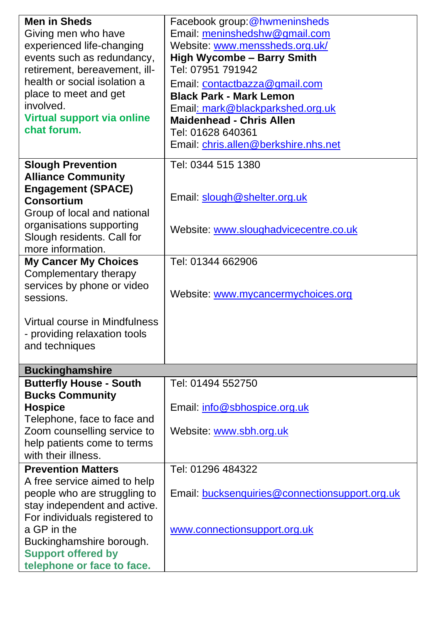| <b>Men in Sheds</b>            | Facebook group: @hwmeninsheds                  |  |  |  |
|--------------------------------|------------------------------------------------|--|--|--|
| Giving men who have            | Email: meninshedshw@gmail.com                  |  |  |  |
| experienced life-changing      | Website: www.menssheds.org.uk/                 |  |  |  |
| events such as redundancy,     | <b>High Wycombe - Barry Smith</b>              |  |  |  |
| retirement, bereavement, ill-  | Tel: 07951 791942                              |  |  |  |
| health or social isolation a   | Email: contactbazza@gmail.com                  |  |  |  |
| place to meet and get          | <b>Black Park - Mark Lemon</b>                 |  |  |  |
| involved.                      | Email: mark@blackparkshed.org.uk               |  |  |  |
| Virtual support via online     | <b>Maidenhead - Chris Allen</b>                |  |  |  |
| chat forum.                    | Tel: 01628 640361                              |  |  |  |
|                                | Email: chris.allen@berkshire.nhs.net           |  |  |  |
| <b>Slough Prevention</b>       | Tel: 0344 515 1380                             |  |  |  |
| <b>Alliance Community</b>      |                                                |  |  |  |
| <b>Engagement (SPACE)</b>      |                                                |  |  |  |
| <b>Consortium</b>              | Email: slough@shelter.org.uk                   |  |  |  |
| Group of local and national    |                                                |  |  |  |
| organisations supporting       | Website: www.sloughadvicecentre.co.uk          |  |  |  |
| Slough residents. Call for     |                                                |  |  |  |
| more information.              |                                                |  |  |  |
| <b>My Cancer My Choices</b>    | Tel: 01344 662906                              |  |  |  |
| Complementary therapy          |                                                |  |  |  |
| services by phone or video     | Website: www.mycancermychoices.org             |  |  |  |
| sessions.                      |                                                |  |  |  |
|                                |                                                |  |  |  |
| Virtual course in Mindfulness  |                                                |  |  |  |
| - providing relaxation tools   |                                                |  |  |  |
| and techniques                 |                                                |  |  |  |
| <b>Buckinghamshire</b>         |                                                |  |  |  |
| <b>Butterfly House - South</b> | Tel: 01494 552750                              |  |  |  |
| <b>Bucks Community</b>         |                                                |  |  |  |
| <b>Hospice</b>                 | Email: info@sbhospice.org.uk                   |  |  |  |
| Telephone, face to face and    |                                                |  |  |  |
| Zoom counselling service to    | Website: www.sbh.org.uk                        |  |  |  |
| help patients come to terms    |                                                |  |  |  |
| with their illness.            |                                                |  |  |  |
| <b>Prevention Matters</b>      | Tel: 01296 484322                              |  |  |  |
| A free service aimed to help   |                                                |  |  |  |
| people who are struggling to   | Email: bucksenquiries@connectionsupport.org.uk |  |  |  |
| stay independent and active.   |                                                |  |  |  |
| For individuals registered to  |                                                |  |  |  |
| a GP in the                    | www.connectionsupport.org.uk                   |  |  |  |
| Buckinghamshire borough.       |                                                |  |  |  |
| <b>Support offered by</b>      |                                                |  |  |  |
| telephone or face to face.     |                                                |  |  |  |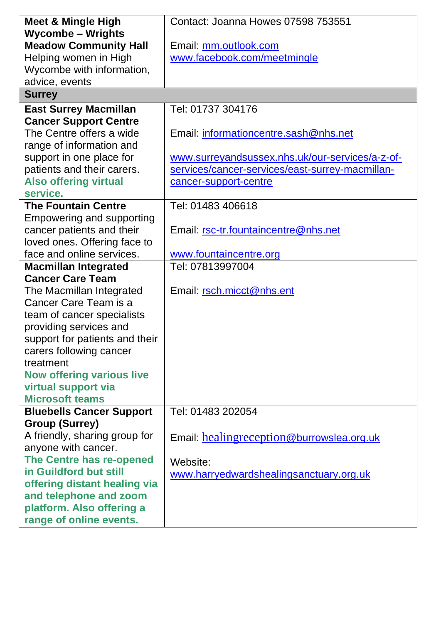| Meet & Mingle High                                     | Contact: Joanna Howes 07598 753551              |  |  |
|--------------------------------------------------------|-------------------------------------------------|--|--|
| <b>Wycombe - Wrights</b>                               |                                                 |  |  |
| <b>Meadow Community Hall</b>                           | Email: mm.outlook.com                           |  |  |
| Helping women in High                                  | www.facebook.com/meetmingle                     |  |  |
| Wycombe with information,                              |                                                 |  |  |
| advice, events                                         |                                                 |  |  |
| <b>Surrey</b>                                          |                                                 |  |  |
| <b>East Surrey Macmillan</b>                           | Tel: 01737 304176                               |  |  |
| <b>Cancer Support Centre</b>                           |                                                 |  |  |
| The Centre offers a wide                               | Email: informationcentre.sash@nhs.net           |  |  |
| range of information and                               |                                                 |  |  |
| support in one place for                               | www.surreyandsussex.nhs.uk/our-services/a-z-of- |  |  |
| patients and their carers.                             | services/cancer-services/east-surrey-macmillan- |  |  |
| <b>Also offering virtual</b>                           | cancer-support-centre                           |  |  |
| service.                                               |                                                 |  |  |
| <b>The Fountain Centre</b>                             | Tel: 01483 406618                               |  |  |
| Empowering and supporting                              |                                                 |  |  |
| cancer patients and their                              | Email: rsc-tr.fountaincentre@nhs.net            |  |  |
| loved ones. Offering face to                           |                                                 |  |  |
| face and online services.                              | www.fountaincentre.org                          |  |  |
| <b>Macmillan Integrated</b>                            | Tel: 07813997004                                |  |  |
| <b>Cancer Care Team</b>                                |                                                 |  |  |
| The Macmillan Integrated                               | Email: rsch.micct@nhs.ent                       |  |  |
| Cancer Care Team is a                                  |                                                 |  |  |
| team of cancer specialists                             |                                                 |  |  |
| providing services and                                 |                                                 |  |  |
| support for patients and their                         |                                                 |  |  |
| carers following cancer                                |                                                 |  |  |
| treatment                                              |                                                 |  |  |
| <b>Now offering various live</b>                       |                                                 |  |  |
| virtual support via                                    |                                                 |  |  |
| <b>Microsoft teams</b>                                 |                                                 |  |  |
| <b>Bluebells Cancer Support</b>                        | Tel: 01483 202054                               |  |  |
| <b>Group (Surrey)</b><br>A friendly, sharing group for |                                                 |  |  |
|                                                        | Email: healingreception@burrowslea.org.uk       |  |  |
| anyone with cancer.<br>The Centre has re-opened        |                                                 |  |  |
| in Guildford but still                                 | Website:                                        |  |  |
| offering distant healing via                           | www.harryedwardshealingsanctuary.org.uk         |  |  |
| and telephone and zoom                                 |                                                 |  |  |
| platform. Also offering a                              |                                                 |  |  |
| range of online events.                                |                                                 |  |  |
|                                                        |                                                 |  |  |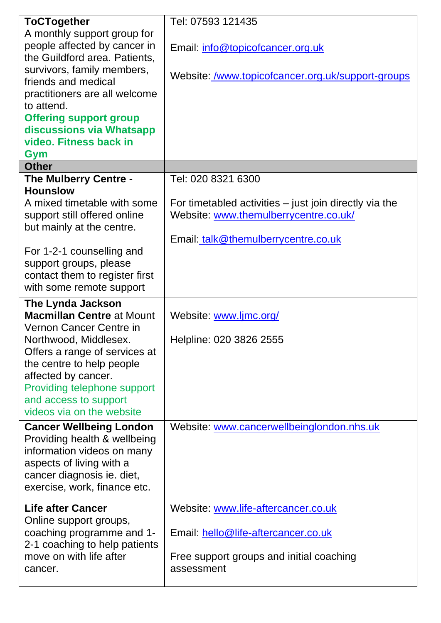| <b>ToCTogether</b>               | Tel: 07593 121435                                      |  |  |
|----------------------------------|--------------------------------------------------------|--|--|
| A monthly support group for      |                                                        |  |  |
| people affected by cancer in     | Email: info@topicofcancer.org.uk                       |  |  |
| the Guildford area. Patients,    |                                                        |  |  |
| survivors, family members,       |                                                        |  |  |
| friends and medical              | Website: /www.topicofcancer.org.uk/support-groups      |  |  |
| practitioners are all welcome    |                                                        |  |  |
| to attend.                       |                                                        |  |  |
| <b>Offering support group</b>    |                                                        |  |  |
| discussions via Whatsapp         |                                                        |  |  |
| video. Fitness back in           |                                                        |  |  |
| Gym                              |                                                        |  |  |
| <b>Other</b>                     |                                                        |  |  |
| The Mulberry Centre -            | Tel: 020 8321 6300                                     |  |  |
| <b>Hounslow</b>                  |                                                        |  |  |
| A mixed timetable with some      | For timetabled activities - just join directly via the |  |  |
| support still offered online     | Website: www.themulberrycentre.co.uk/                  |  |  |
| but mainly at the centre.        |                                                        |  |  |
|                                  | Email: talk@themulberrycentre.co.uk                    |  |  |
| For 1-2-1 counselling and        |                                                        |  |  |
| support groups, please           |                                                        |  |  |
| contact them to register first   |                                                        |  |  |
| with some remote support         |                                                        |  |  |
| The Lynda Jackson                |                                                        |  |  |
| <b>Macmillan Centre at Mount</b> | Website: www.ljmc.org/                                 |  |  |
| Vernon Cancer Centre in          |                                                        |  |  |
| Northwood, Middlesex.            | Helpline: 020 3826 2555                                |  |  |
| Offers a range of services at    |                                                        |  |  |
| the centre to help people        |                                                        |  |  |
| affected by cancer.              |                                                        |  |  |
| Providing telephone support      |                                                        |  |  |
| and access to support            |                                                        |  |  |
| videos via on the website        |                                                        |  |  |
| <b>Cancer Wellbeing London</b>   | Website: www.cancerwellbeinglondon.nhs.uk              |  |  |
| Providing health & wellbeing     |                                                        |  |  |
| information videos on many       |                                                        |  |  |
| aspects of living with a         |                                                        |  |  |
| cancer diagnosis ie. diet,       |                                                        |  |  |
| exercise, work, finance etc.     |                                                        |  |  |
|                                  |                                                        |  |  |
| <b>Life after Cancer</b>         | Website: www.life-aftercancer.co.uk                    |  |  |
| Online support groups,           |                                                        |  |  |
| coaching programme and 1-        | Email: hello@life-aftercancer.co.uk                    |  |  |
| 2-1 coaching to help patients    |                                                        |  |  |
| move on with life after          | Free support groups and initial coaching               |  |  |
| cancer.                          | assessment                                             |  |  |
|                                  |                                                        |  |  |